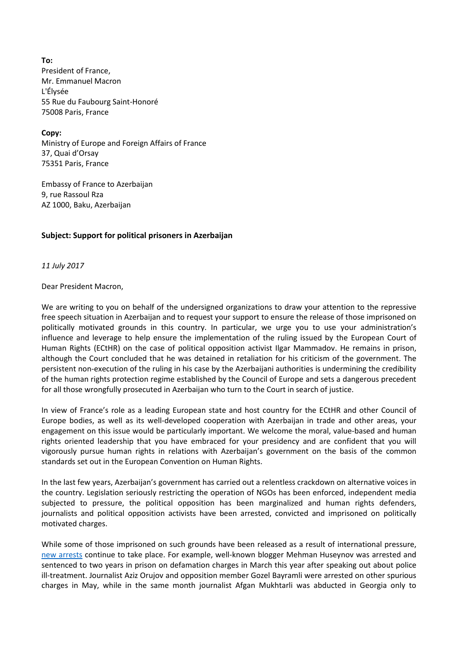**To:** President of France, Mr. Emmanuel Macron L'Élysée 55 Rue du Faubourg Saint-Honoré 75008 Paris, France

**Copy:** Ministry of Europe and Foreign Affairs of France 37, Quai d'Orsay 75351 Paris, France

Embassy of France to Azerbaijan 9, rue Rassoul Rza AZ 1000, Baku, Azerbaijan

## **Subject: Support for political prisoners in Azerbaijan**

*11 July 2017*

Dear President Macron,

We are writing to you on behalf of the undersigned organizations to draw your attention to the repressive free speech situation in Azerbaijan and to request your support to ensure the release of those imprisoned on politically motivated grounds in this country. In particular, we urge you to use your administration's influence and leverage to help ensure the implementation of the ruling issued by the European Court of Human Rights (ECtHR) on the case of political opposition activist Ilgar Mammadov. He remains in prison, although the Court concluded that he was detained in retaliation for his criticism of the government. The persistent non-execution of the ruling in his case by the Azerbaijani authorities is undermining the credibility of the human rights protection regime established by the Council of Europe and sets a dangerous precedent for all those wrongfully prosecuted in Azerbaijan who turn to the Court in search of justice.

In view of France's role as a leading European state and host country for the ECtHR and other Council of Europe bodies, as well as its well-developed cooperation with Azerbaijan in trade and other areas, your engagement on this issue would be particularly important. We welcome the moral, value-based and human rights oriented leadership that you have embraced for your presidency and are confident that you will vigorously pursue human rights in relations with Azerbaijan's government on the basis of the common standards set out in the European Convention on Human Rights.

In the last few years, Azerbaijan's government has carried out a relentless crackdown on alternative voices in the country. Legislation seriously restricting the operation of NGOs has been enforced, independent media subjected to pressure, the political opposition has been marginalized and human rights defenders, journalists and political opposition activists have been arrested, convicted and imprisoned on politically motivated charges.

While some of those imprisoned on such grounds have been released as a result of international pressure, [new arrests](http://iphronline.org/azerbaijan-eu-official-press-rights-issues.html) continue to take place. For example, well-known blogger Mehman Huseynov was arrested and sentenced to two years in prison on defamation charges in March this year after speaking out about police ill-treatment. Journalist Aziz Orujov and opposition member Gozel Bayramli were arrested on other spurious charges in May, while in the same month journalist Afgan Mukhtarli was abducted in Georgia only to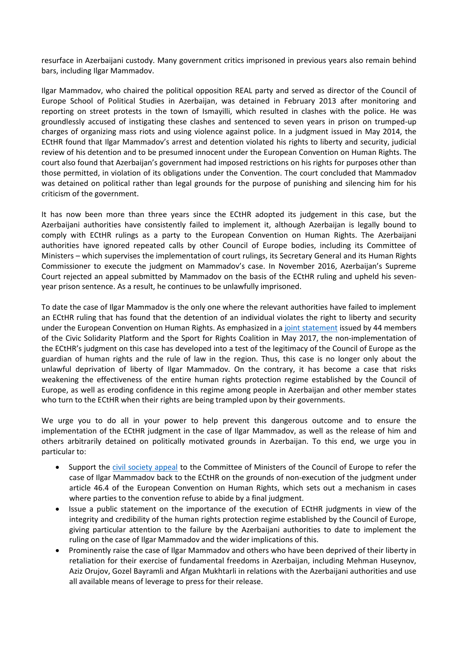resurface in Azerbaijani custody. Many government critics imprisoned in previous years also remain behind bars, including Ilgar Mammadov.

Ilgar Mammadov, who chaired the political opposition REAL party and served as director of the Council of Europe School of Political Studies in Azerbaijan, was detained in February 2013 after monitoring and reporting on street protests in the town of Ismayilli, which resulted in clashes with the police. He was groundlessly accused of instigating these clashes and sentenced to seven years in prison on trumped-up charges of organizing mass riots and using violence against police. In a judgment issued in May 2014, the ECtHR found that Ilgar Mammadov's arrest and detention violated his rights to liberty and security, judicial review of his detention and to be presumed innocent under the European Convention on Human Rights. The court also found that Azerbaijan's government had imposed restrictions on his rights for purposes other than those permitted, in violation of its obligations under the Convention. The court concluded that Mammadov was detained on political rather than legal grounds for the purpose of punishing and silencing him for his criticism of the government.

It has now been more than three years since the ECtHR adopted its judgement in this case, but the Azerbaijani authorities have consistently failed to implement it, although Azerbaijan is legally bound to comply with ECtHR rulings as a party to the European Convention on Human Rights. The Azerbaijani authorities have ignored repeated calls by other Council of Europe bodies, including its Committee of Ministers – which supervises the implementation of court rulings, its Secretary General and its Human Rights Commissioner to execute the judgment on Mammadov's case. In November 2016, Azerbaijan's Supreme Court rejected an appeal submitted by Mammadov on the basis of the ECtHR ruling and upheld his sevenyear prison sentence. As a result, he continues to be unlawfully imprisoned.

To date the case of Ilgar Mammadov is the only one where the relevant authorities have failed to implement an ECtHR ruling that has found that the detention of an individual violates the right to liberty and security under the European Convention on Human Rights. As emphasized in [a joint statement](http://iphronline.org/azerbaijan-time-justice-ilgar-mammadov.html) issued by 44 members of the Civic Solidarity Platform and the Sport for Rights Coalition in May 2017, the non-implementation of the ECtHR's judgment on this case has developed into a test of the legitimacy of the Council of Europe as the guardian of human rights and the rule of law in the region. Thus, this case is no longer only about the unlawful deprivation of liberty of Ilgar Mammadov. On the contrary, it has become a case that risks weakening the effectiveness of the entire human rights protection regime established by the Council of Europe, as well as eroding confidence in this regime among people in Azerbaijan and other member states who turn to the ECtHR when their rights are being trampled upon by their governments.

We urge you to do all in your power to help prevent this dangerous outcome and to ensure the implementation of the ECtHR judgment in the case of Ilgar Mammadov, as well as the release of him and others arbitrarily detained on politically motivated grounds in Azerbaijan. To this end, we urge you in particular to:

- Support the [civil society appeal](http://iphronline.org/azerbaijan-time-justice-ilgar-mammadov.html) to the Committee of Ministers of the Council of Europe to refer the case of Ilgar Mammadov back to the ECtHR on the grounds of non-execution of the judgment under article 46.4 of the European Convention on Human Rights, which sets out a mechanism in cases where parties to the convention refuse to abide by a final judgment.
- Issue a public statement on the importance of the execution of ECtHR judgments in view of the integrity and credibility of the human rights protection regime established by the Council of Europe, giving particular attention to the failure by the Azerbaijani authorities to date to implement the ruling on the case of Ilgar Mammadov and the wider implications of this.
- Prominently raise the case of Ilgar Mammadov and others who have been deprived of their liberty in retaliation for their exercise of fundamental freedoms in Azerbaijan, including Mehman Huseynov, Aziz Orujov, Gozel Bayramli and Afgan Mukhtarli in relations with the Azerbaijani authorities and use all available means of leverage to press for their release.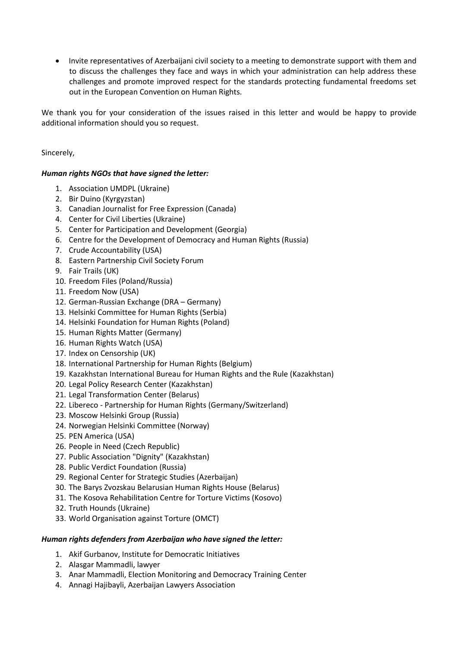Invite representatives of Azerbaijani civil society to a meeting to demonstrate support with them and to discuss the challenges they face and ways in which your administration can help address these challenges and promote improved respect for the standards protecting fundamental freedoms set out in the European Convention on Human Rights.

We thank you for your consideration of the issues raised in this letter and would be happy to provide additional information should you so request.

Sincerely,

## *Human rights NGOs that have signed the letter:*

- 1. Association UMDPL (Ukraine)
- 2. Bir Duino (Kyrgyzstan)
- 3. Canadian Journalist for Free Expression (Canada)
- 4. Center for Civil Liberties (Ukraine)
- 5. Center for Participation and Development (Georgia)
- 6. Centre for the Development of Democracy and Human Rights (Russia)
- 7. Crude Accountability (USA)
- 8. Eastern Partnership Civil Society Forum
- 9. Fair Trails (UK)
- 10. Freedom Files (Poland/Russia)
- 11. Freedom Now (USA)
- 12. German-Russian Exchange (DRA Germany)
- 13. Helsinki Committee for Human Rights (Serbia)
- 14. Helsinki Foundation for Human Rights (Poland)
- 15. Human Rights Matter (Germany)
- 16. Human Rights Watch (USA)
- 17. Index on Censorship (UK)
- 18. International Partnership for Human Rights (Belgium)
- 19. Kazakhstan International Bureau for Human Rights and the Rule (Kazakhstan)
- 20. Legal Policy Research Center (Kazakhstan)
- 21. Legal Transformation Center (Belarus)
- 22. Libereco Partnership for Human Rights (Germany/Switzerland)
- 23. Moscow Helsinki Group (Russia)
- 24. Norwegian Helsinki Committee (Norway)
- 25. PEN America (USA)
- 26. People in Need (Czech Republic)
- 27. Public Association "Dignity" (Kazakhstan)
- 28. Public Verdict Foundation (Russia)
- 29. Regional Center for Strategic Studies (Azerbaijan)
- 30. The Barys Zvozskau Belarusian Human Rights House (Belarus)
- 31. The Kosova Rehabilitation Centre for Torture Victims (Kosovo)
- 32. Truth Hounds (Ukraine)
- 33. World Organisation against Torture (OMCT)

## *Human rights defenders from Azerbaijan who have signed the letter:*

- 1. Akif Gurbanov, Institute for Democratic Initiatives
- 2. Alasgar Mammadli, lawyer
- 3. Anar Mammadli, Election Monitoring and Democracy Training Center
- 4. Annagi Hajibayli, Azerbaijan Lawyers Association